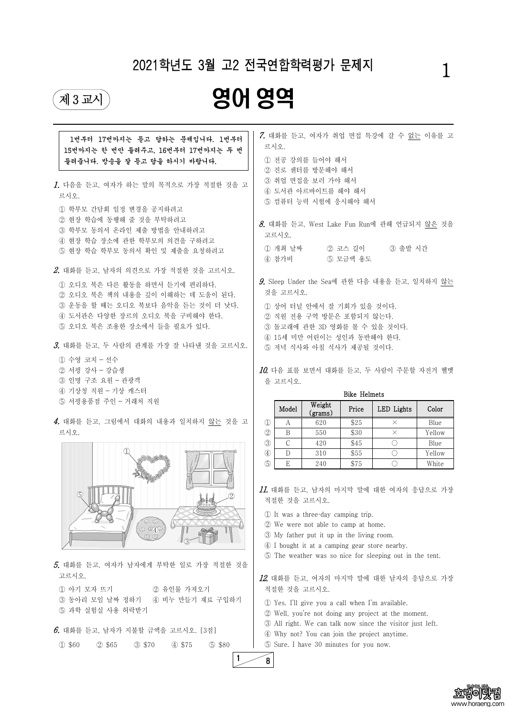





 $\left( 4^{3} \right)$   $\left| 1 \right|$   $\gg$ 

5. 대화를 듣고, 여자가 남자에게 부탁한 일로 가장 적절한 것을 고르시오.

① 아기 모자 뜨기 ② 유인물 가져오기 ③ 동아리 모임 날짜 정하기 ④ 비누 만들기 재료 구입하기 ⑤ 과학 실험실 사용 허락받기

 $6.$  대화를 듣고, 남자가 지불할 금액을 고르시오. [3점]

| 1번부터 17번까지는 듣고 답하는 문제입니다. 1번부터<br>15번까지는 한 번만 들려주고, 16번부터 17번까지는 두 번<br>들려줍니다. 방송을 잘 듣고 답을 하시기 바랍니다.<br>1. 다음을 듣고, 여자가 하는 말의 목적으로 가장 적절한 것을 고<br>르시오.<br>1 학부모 간담회 일정 변경을 공지하려고<br>② 현장 학습에 동행해 줄 것을 부탁하려고<br>3 학부모 동의서 온라인 제출 방법을 안내하려고<br>4 현장 학습 장소에 관한 학부모의 의견을 구하려고<br>5 현장 학습 학부모 동의서 확인 및 제출을 요청하려고<br>2. 대화를 듣고, 남자의 의견으로 가장 적절한 것을 고르시오. |                                                                                                                                                                                                                                                           | 르시오.<br>고르시오.<br>① 개최 날짜<br>4) 참가비 | 1 전공 강의를 들어야 해서<br>2 진로 센터를 방문해야 해서<br>3 취업 면접을 보러 가야 해서<br>4) 도서관 아르바이트를 해야 해서 | 5 컴퓨터 능력 시험에 응시해야 해서<br>② 코스 길이<br>5 모금액 용도 | 7. 대화를 듣고, 여자가 취업 면접 특강에 갈 수 없는 이유를 고<br>$\delta$ . 대화를 듣고, West Lake Fun Run에 관해 언급되지 않은 것을<br>3 출발 시간 |        |
|---------------------------------------------------------------------------------------------------------------------------------------------------------------------------------------------------------------------------------------------------------------------------------------------------------------------------------------------------|-----------------------------------------------------------------------------------------------------------------------------------------------------------------------------------------------------------------------------------------------------------|------------------------------------|---------------------------------------------------------------------------------|---------------------------------------------|---------------------------------------------------------------------------------------------------------|--------|
| 1 오디오 북은 다른 활동을 하면서 듣기에 편리하다.<br>② 오디오 북은 책의 내용을 깊이 이해하는 데 도움이 된다.<br>③ 운동을 할 때는 오디오 북보다 음악을 듣는 것이 더 낫다.<br>4 도서관은 다양한 장르의 오디오 북을 구비해야 한다.<br>5 오디오 북은 조용한 장소에서 들을 필요가 있다.<br>3. 대화를 듣고, 두 사람의 관계를 가장 잘 나타낸 것을 고르시오.<br>① 수영 코치 - 선수<br>② 서핑 강사 - 강습생                                                                                             | $9.$ Sleep Under the Sea에 관한 다음 내용을 듣고, 일치하지 않는<br>것을 고르시오.<br>① 상어 터널 안에서 잘 기회가 있을 것이다.<br>2 직원 전용 구역 방문은 포함되지 않는다.<br>3 돌고래에 관한 3D 영화를 볼 수 있을 것이다.<br>4) 15세 미만 어린이는 성인과 동반해야 한다.<br>5 저녁 식사와 아침 식사가 제공될 것이다.<br>10. 다음 표를 보면서 대화를 듣고, 두 사람이 주문할 자전거 헬멧 |                                    |                                                                                 |                                             |                                                                                                         |        |
| 3 인명 구조 요원 - 관광객<br>4 기상청 직원 - 기상 캐스터                                                                                                                                                                                                                                                                                                             | 을 고르시오.<br><b>Bike Helmets</b>                                                                                                                                                                                                                            |                                    |                                                                                 |                                             |                                                                                                         |        |
| 5 서핑용품점 주인 - 거래처 직원                                                                                                                                                                                                                                                                                                                               |                                                                                                                                                                                                                                                           | Model                              | Weight<br>(grams)                                                               | Price                                       | LED Lights                                                                                              | Color  |
| 4. 대화를 듣고, 그림에서 대화의 내용과 일치하지 않는 것을 고                                                                                                                                                                                                                                                                                                              | $\mathbb{O}$                                                                                                                                                                                                                                              | А                                  | 620                                                                             | \$25                                        | $\times$                                                                                                | Blue   |
| 르시오.                                                                                                                                                                                                                                                                                                                                              | $\circled{2}$                                                                                                                                                                                                                                             | B                                  | 550                                                                             | \$30                                        | $\times$                                                                                                | Yellow |
|                                                                                                                                                                                                                                                                                                                                                   | $\circled{3}$                                                                                                                                                                                                                                             | $\mathcal{C}$                      | 420                                                                             | \$45                                        | $\bigcirc$                                                                                              | Blue   |
|                                                                                                                                                                                                                                                                                                                                                   | $\bigcirc$                                                                                                                                                                                                                                                | D                                  | 310                                                                             | \$55                                        | $\bigcirc$                                                                                              | Yellow |
| $\circledS$                                                                                                                                                                                                                                                                                                                                       | $\circledS$                                                                                                                                                                                                                                               | E<br>적절한 것을 고르시오.                  | 240                                                                             | \$75                                        | $\bigcirc$<br>$11.$ 대화를 듣고, 남자의 마지막 말에 대한 여자의 응답으로 가장                                                   | White  |

① \$60 ② \$65 ③ \$70 ④ \$75 ⑤ \$80

 $12$ . 대화를 듣고, 여자의 마지막 말에 대한 남자의 응답으로 가장 적절한 것을 고르시오.

① It was a threeday camping trip.

- ② We were not able to camp at home.
- ③ My father put it up in the living room.

④ I bought it at a camping gear store nearby.

⑤ The weather was so nice for sleeping out in the tent.

① Yes. I'll give you a call when I'm available. ② Well, you're not doing any project at the moment. ③ All right. We can talk now since the visitor just left. ④ Why not? You can join the project anytime. ⑤ Sure. I have 30 minutes for you now.

# 2021학년도 3월 고2 전국연합학력평가 문제지

# 1

# 제3교시 90 역 역 역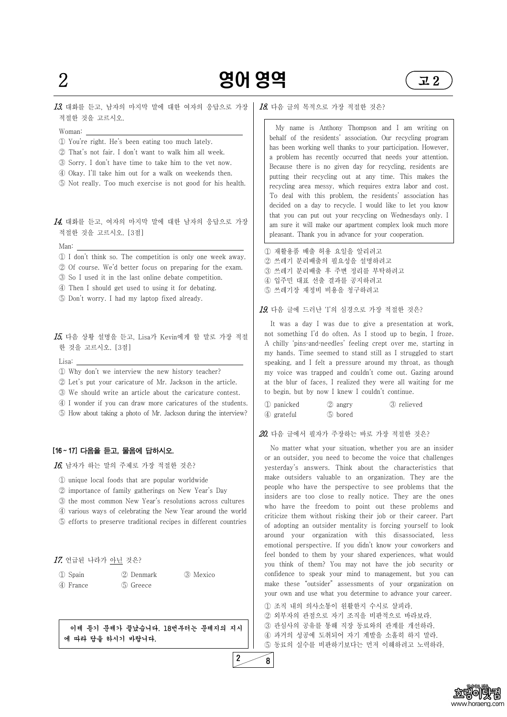



 $13.$  대화를 듣고, 남자의 마지막 말에 대한 여자의 응답으로 가장 적절한 것을 고르시오.

- Woman: ① You're right. He's been eating too much lately.
- ② That's not fair. I don't want to walk him all week.
- ③ Sorry. I don't have time to take him to the vet now.
- ④ Okay. I'll take him out for a walk on weekends then.
- ⑤ Not really. Too much exercise is not good for his health.

14. 대화를 듣고, 여자의 마지막 말에 대한 남자의 응답으로 가장 적절한 것을 고르시오. [3점]

- Man: ① I don't think so. The competition is only one week away.
- ② Of course. We'd better focus on preparing for the exam.
- ③ So I used it in the last online debate competition.
- ④ Then I should get used to using it for debating.
- ⑤ Don't worry. I had my laptop fixed already.

15. 다음 상황 설명을 듣고, Lisa가 Kevin에게 할 말로 가장 적절 한 것을 고르시오. [3점]

- Lisa: ① Why don't we interview the new history teacher?
- ② Let's put your caricature of Mr. Jackson in the article.
- ③ We should write an article about the caricature contest.
- ④ I wonder if you can draw more caricatures of the students.
- ⑤ How about taking a photo of Mr. Jackson during the interview?

### [16 ~ 17] 다음을 듣고, 물음에 답하시오.

16. 남자가 하는 말의 주제로 가장 적절한 것은?

① unique local foods that are popular worldwide

- ② importance of family gatherings on New Year's Day
- ③ the most common New Year's resolutions across cultures
- ④ various ways of celebrating the New Year around the world
- ⑤ efforts to preserve traditional recipes in different countries

| ① Spain  | ② Denmark | 3 Mexico |
|----------|-----------|----------|
| 4 France | 5 Greece  |          |

이제 듣기 문제가 끝났습니다. 18번부터는 문제지의 지시 에 따라 답을 하시기 바랍니다.

18. 다음 글의 목적으로 가장 적절한 것은?

My name is Anthony Thompson and I am writing on behalf of the residents' association. Our recycling program has been working well thanks to your participation. However, a problem has recently occurred that needs your attention. Because there is no given day for recycling, residents are putting their recycling out at any time. This makes the recycling area messy, which requires extra labor and cost. To deal with this problem, the residents' association has decided on a day to recycle. I would like to let you know that you can put out your recycling on Wednesdays only. I am sure it will make our apartment complex look much more pleasant. Thank you in advance for your cooperation.

- ① 재활용품 배출 허용 요일을 알리려고
- ② 쓰레기 분리배출의 필요성을 설명하려고
- ③ 쓰레기 분리배출 후 주변 정리를 부탁하려고
- ④ 입주민 대표 선출 결과를 공지하려고
- ⑤ 쓰레기장 재정비 비용을 청구하려고

### 19. 다음 글에 드러난 'I'의 심경으로 가장 적절한 것은?

It was a day I was due to give a presentation at work, not something I'd do often. As I stood up to begin, I froze. A chilly 'pins-and-needles' feeling crept over me, starting in my hands. Time seemed to stand still as I struggled to start speaking, and I felt a pressure around my throat, as though my voice was trapped and couldn't come out. Gazing around at the blur of faces, I realized they were all waiting for me to begin, but by now I knew I couldn't continue.

| 1 panicked | $(2)$ angry | 3 relieved |  |
|------------|-------------|------------|--|
| 4 grateful | 5 bored     |            |  |

## 20. 다음 글에서 필자가 주장하는 바로 가장 적절한 것은?

No matter what your situation, whether you are an insider or an outsider, you need to become the voice that challenges yesterday's answers. Think about the characteristics that make outsiders valuable to an organization. They are the people who have the perspective to see problems that the insiders are too close to really notice. They are the ones who have the freedom to point out these problems and criticize them without risking their job or their career. Part of adopting an outsider mentality is forcing yourself to look around your organization with this disassociated, less emotional perspective. If you didn't know your coworkers and feel bonded to them by your shared experiences, what would you think of them? You may not have the job security or confidence to speak your mind to management, but you can make these "outsider" assessments of your organization on your own and use what you determine to advance your career.

# 17. 언급된 나라가 <u>아닌</u> 것은?

① 조직 내의 의사소통이 원활한지 수시로 살피라. ② 외부자의 관점으로 자기 조직을 비판적으로 바라보라. ③ 관심사의 공유를 통해 직장 동료와의 관계를 개선하라. ④ 과거의 성공에 도취되어 자기 계발을 소홀히 하지 말라. ⑤ 동료의 실수를 비판하기보다는 먼저 이해하려고 노력하라.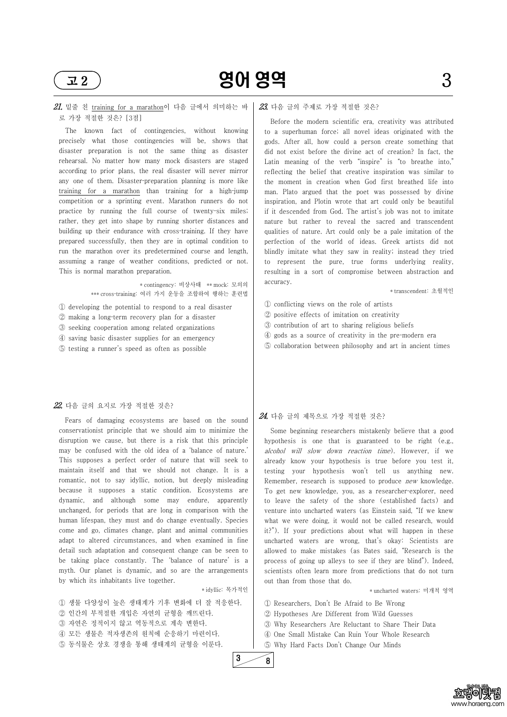



# 21. 밑줄 친 training for a marathon이 다음 글에서 의미하는 바 로 가장 적절한 것은? [3점]

The known fact of contingencies, without knowing precisely what those contingencies will be, shows that disaster preparation is not the same thing as disaster rehearsal. No matter how many mock disasters are staged according to prior plans, the real disaster will never mirror any one of them. Disaster-preparation planning is more like training for a marathon than training for a high-jump competition or a sprinting event. Marathon runners do not practice by running the full course of twenty-six miles; rather, they get into shape by running shorter distances and building up their endurance with cross-training. If they have prepared successfully, then they are in optimal condition to run the marathon over its predetermined course and length, assuming a range of weather conditions, predicted or not. This is normal marathon preparation.

> \* contingency: 비상사태 \*\* mock: 모의의 \*\*\* crosstraining: 여러 가지 운동을 조합하여 행하는 훈련법

① developing the potential to respond to a real disaster  $\oslash$  making a long-term recovery plan for a disaster ③ seeking cooperation among related organizations

- ④ saving basic disaster supplies for an emergency
- ⑤ testing a runner's speed as often as possible

## 22. 다음 글의 요지로 가장 적절한 것은?

Fears of damaging ecosystems are based on the sound conservationist principle that we should aim to minimize the disruption we cause, but there is a risk that this principle may be confused with the old idea of a 'balance of nature.' This supposes a perfect order of nature that will seek to maintain itself and that we should not change. It is a romantic, not to say idyllic, notion, but deeply misleading because it supposes a static condition. Ecosystems are dynamic, and although some may endure, apparently unchanged, for periods that are long in comparison with the human lifespan, they must and do change eventually. Species come and go, climates change, plant and animal communities adapt to altered circumstances, and when examined in fine

detail such adaptation and consequent change can be seen to be taking place constantly. The 'balance of nature' is a myth. Our planet is dynamic, and so are the arrangements by which its inhabitants live together.

\* idyllic: 목가적인

① 생물 다양성이 높은 생태계가 기후 변화에 더 잘 적응한다. ② 인간의 부적절한 개입은 자연의 균형을 깨뜨린다. ③ 자연은 정적이지 않고 역동적으로 계속 변한다. ④ 모든 생물은 적자생존의 원칙에 순응하기 마련이다. ⑤ 동식물은 상호 경쟁을 통해 생태계의 균형을 이룬다.

# 23. 다음 글의 주제로 가장 적절한 것은?

Before the modern scientific era, creativity was attributed to a superhuman force; all novel ideas originated with the gods. After all, how could a person create something that did not exist before the divine act of creation? In fact, the Latin meaning of the verb "inspire" is "to breathe into," reflecting the belief that creative inspiration was similar to the moment in creation when God first breathed life into man. Plato argued that the poet was possessed by divine inspiration, and Plotin wrote that art could only be beautiful if it descended from God. The artist's job was not to imitate nature but rather to reveal the sacred and transcendent qualities of nature. Art could only be a pale imitation of the perfection of the world of ideas. Greek artists did not blindly imitate what they saw in reality; instead they tried to represent the pure, true forms underlying reality, resulting in a sort of compromise between abstraction and accuracy.

\* transcendent: 초월적인

- ① conflicting views on the role of artists
- ② positive effects of imitation on creativity
- ③ contribution of art to sharing religious beliefs
- ④ gods as a source of creativity in the premodern era
- ⑤ collaboration between philosophy and art in ancient times

### 24. 다음 글의 제목으로 가장 적절한 것은?

Some beginning researchers mistakenly believe that a good hypothesis is one that is guaranteed to be right (e.g., alcohol will slow down reaction time). However, if we already know your hypothesis is true before you test it, testing your hypothesis won't tell us anything new. Remember, research is supposed to produce *new* knowledge. To get new knowledge, you, as a researcher-explorer, need to leave the safety of the shore (established facts) and venture into uncharted waters (as Einstein said, "If we knew what we were doing, it would not be called research, would it?"). If your predictions about what will happen in these uncharted waters are wrong, that's okay: Scientists are allowed to make mistakes (as Bates said, "Research is the process of going up alleys to see if they are blind"). Indeed, scientists often learn more from predictions that do not turn out than from those that do.

\* uncharted waters: 미개척 영역

① Researchers, Don't Be Afraid to Be Wrong ② Hypotheses Are Different from Wild Guesses ③ Why Researchers Are Reluctant to Share Their Data ④ One Small Mistake Can Ruin Your Whole Research ⑤ Why Hard Facts Don't Change Our Minds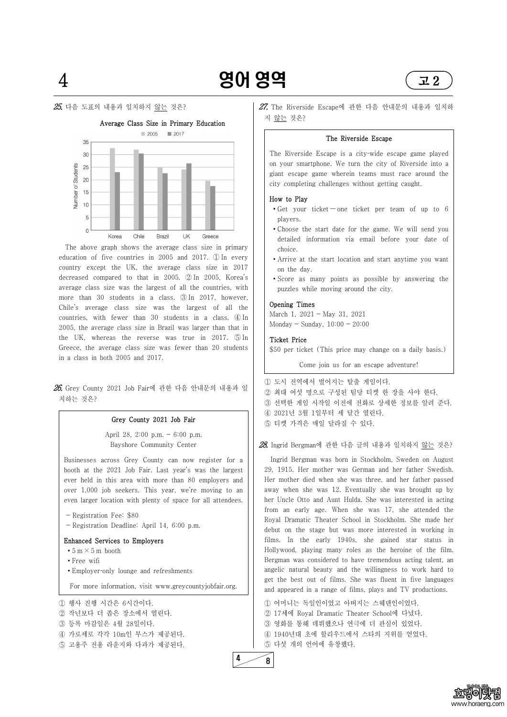# $4$  **영어 영역**  $22$

# $25.$  다음 도표의 내용과 일치하지 <u>않는</u> 것은?







The above graph shows the average class size in primary education of five countries in 2005 and 2017. ① In every country except the UK, the average class size in 2017 decreased compared to that in 2005. ② In 2005, Korea's average class size was the largest of all the countries, with more than 30 students in a class. ③ In 2017, however, Chile's average class size was the largest of all the countries, with fewer than 30 students in a class. ④ In 2005, the average class size in Brazil was larger than that in the UK, whereas the reverse was true in 2017. ⑤ In Greece, the average class size was fewer than 20 students in a class in both 2005 and 2017.

- $5 m \times 5 m$  booth
- ∙ Free wifi

• Employer-only lounge and refreshments

26. Grey County 2021 Job Fair에 관한 다음 안내문의 내용과 일 치하는 것은?

#### Grey County 2021 Job Fair

April 28, 2:00 p.m. - 6:00 p.m. Bayshore Community Center

The Riverside Escape is a city-wide escape game played on your smartphone. We turn the city of Riverside into a giant escape game wherein teams must race around the city completing challenges without getting caught.

Businesses across Grey County can now register for a booth at the 2021 Job Fair. Last year's was the largest ever held in this area with more than 80 employers and over 1,000 job seekers. This year, we're moving to an even larger location with plenty of space for all attendees.

- Registration Fee: \$80

- Registration Deadline: April 14, 6:00 p.m.

#### Enhanced Services to Employers

For more information, visit www.greycountyjobfair.org.

① 행사 진행 시간은 6시간이다. ② 작년보다 더 좁은 장소에서 열린다. ③ 등록 마감일은 4월 28일이다. ④ 가로세로 각각 10m인 부스가 제공된다. ⑤ 고용주 전용 라운지와 다과가 제공된다.

27. The Riverside Escape에 관한 다음 안내문의 내용과 일치하 지 않는 것은?

#### The Riverside Escape

#### How to Play

- ∙ Get your ticket one ticket per team of up to 6 players.
- ∙ Choose the start date for the game. We will send you detailed information via email before your date of choice.
- ∙ Arrive at the start location and start anytime you want on the day.
- ∙ Score as many points as possible by answering the puzzles while moving around the city.

#### Opening Times

March 1, 2021 - May 31, 2021 Monday - Sunday,  $10:00 - 20:00$ 

#### Ticket Price

\$50 per ticket (This price may change on a daily basis.)

Come join us for an escape adventure!

① 도시 전역에서 벌어지는 탈출 게임이다. ② 최대 여섯 명으로 구성된 팀당 티켓 한 장을 사야 한다. ③ 선택한 게임 시작일 이전에 전화로 상세한 정보를 알려 준다. ④ 2021년 3월 1일부터 세 달간 열린다. ⑤ 티켓 가격은 매일 달라질 수 있다.

 $28$ . Ingrid Bergman에 관한 다음 글의 내용과 일치하지 않는 것은?

Ingrid Bergman was born in Stockholm, Sweden on August 29, 1915. Her mother was German and her father Swedish. Her mother died when she was three, and her father passed away when she was 12. Eventually she was brought up by her Uncle Otto and Aunt Hulda. She was interested in acting from an early age. When she was 17, she attended the Royal Dramatic Theater School in Stockholm. She made her debut on the stage but was more interested in working in films. In the early 1940s, she gained star status in Hollywood, playing many roles as the heroine of the film. Bergman was considered to have tremendous acting talent, an angelic natural beauty and the willingness to work hard to get the best out of films. She was fluent in five languages and appeared in a range of films, plays and TV productions.

① 어머니는 독일인이었고 아버지는 스웨덴인이었다. ② 17세에 Royal Dramatic Theater School에 다녔다. ③ 영화를 통해 데뷔했으나 연극에 더 관심이 있었다. ④ 1940년대 초에 할리우드에서 스타의 지위를 얻었다. ⑤ 다섯 개의 언어에 유창했다.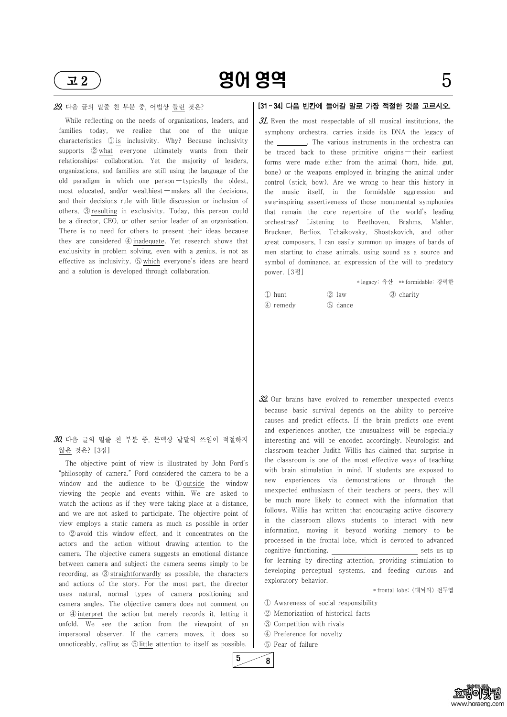



 $\overline{12}$  901 영역 5

## 29. 다음 글의 밑줄 친 부분 중, 어법상 틀린 것은?

While reflecting on the needs of organizations, leaders, and families today, we realize that one of the unique characteristics ① is inclusivity. Why? Because inclusivity supports ② what everyone ultimately wants from their relationships: collaboration. Yet the majority of leaders, organizations, and families are still using the language of the old paradigm in which one person — typically the oldest, most educated, and/or wealthiest — makes all the decisions,  $\vert$  the and their decisions rule with little discussion or inclusion of others, ③ resulting in exclusivity. Today, this person could be a director, CEO, or other senior leader of an organization. The orchestras? Listening There is no need for others to present their ideas because they are considered ④ inadequate. Yet research shows that exclusivity in problem solving, even with a genius, is not as effective as inclusivity, ⑤ which everyone's ideas are heard and a solution is developed through collaboration.

# $30$ . 다음 글의 밑줄 친 부분 중, 문맥상 낱말의 쓰임이 적절하지 않은 것은? [3점]

**31.** Even the most respectable of all musical institutions, the symphony orchestra, carries inside its DNA the legacy of the \_\_\_\_\_\_\_\_. The various instruments in the orchestra can be traced back to these primitive origins — their earliest forms were made either from the animal (horn, hide, gut, bone) or the weapons employed in bringing the animal under control (stick, bow). Are we wrong to hear this history in music itself, in the formidable aggression and awe-inspiring assertiveness of those monumental symphonies that remain the core repertoire of the world's leading to Beethoven, Brahms, Mahler, Bruckner, Berlioz, Tchaikovsky, Shostakovich, and other great composers, I can easily summon up images of bands of men starting to chase animals, using sound as a source and symbol of dominance, an expression of the will to predatory power. [3점]

The objective point of view is illustrated by John Ford's "philosophy of camera." Ford considered the camera to be a window and the audience to be ① outside the window viewing the people and events within. We are asked to watch the actions as if they were taking place at a distance, and we are not asked to participate. The objective point of view employs a static camera as much as possible in order to ② avoid this window effect, and it concentrates on the actors and the action without drawing attention to the camera. The objective camera suggests an emotional distance cognitive functioning. between camera and subject; the camera seems simply to be recording, as ③ straightforwardly as possible, the characters and actions of the story. For the most part, the director uses natural, normal types of camera positioning and camera angles. The objective camera does not comment on or ④ interpret the action but merely records it, letting it unfold. We see the action from the viewpoint of an impersonal observer. If the camera moves, it does so unnoticeably, calling as ⑤ little attention to itself as possible.

 $32$ . Our brains have evolved to remember unexpected events because basic survival depends on the ability to perceive causes and predict effects. If the brain predicts one event and experiences another, the unusualness will be especially interesting and will be encoded accordingly. Neurologist and classroom teacher Judith Willis has claimed that surprise in the classroom is one of the most effective ways of teaching with brain stimulation in mind. If students are exposed to new experiences via demonstrations or through the unexpected enthusiasm of their teachers or peers, they will be much more likely to connect with the information that follows. Willis has written that encouraging active discovery in the classroom allows students to interact with new information, moving it beyond working memory to be processed in the frontal lobe, which is devoted to advanced cognition in the sets us up for learning by directing attention, providing stimulation to developing perceptual systems, and feeding curious and exploratory behavior.

# [31 ~ 34] 다음 빈칸에 들어갈 말로 가장 적절한 것을 고르시오.

\* legacy: 유산 \*\* formidable: 강력한

① hunt ② law ③ charity ④ remedy ⑤ dance

\* frontal lobe: (대뇌의) 전두엽

① Awareness of social responsibility ② Memorization of historical facts ③ Competition with rivals ④ Preference for novelty ⑤ Fear of failure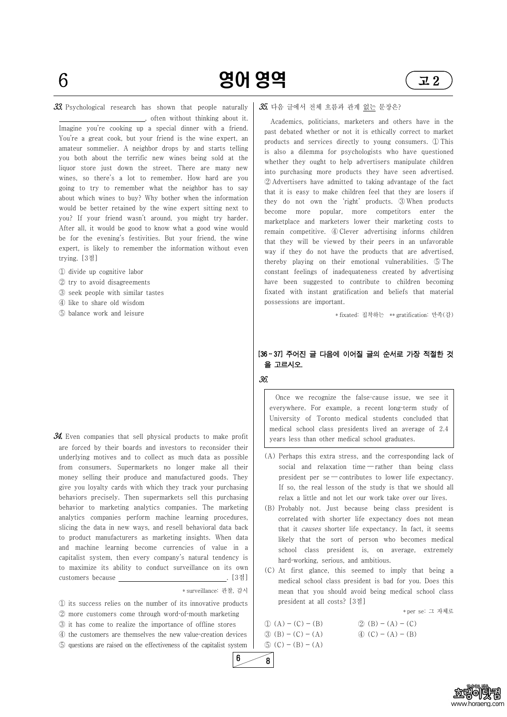$6$  **901 영역**  $22$ 

33. Psychological research has shown that people naturally , often without thinking about it. Imagine you're cooking up a special dinner with a friend. You're a great cook, but your friend is the wine expert, an amateur sommelier. A neighbor drops by and starts telling you both about the terrific new wines being sold at the liquor store just down the street. There are many new wines, so there's a lot to remember. How hard are you going to try to remember what the neighbor has to say about which wines to buy? Why bother when the information would be better retained by the wine expert sitting next to you? If your friend wasn't around, you might try harder. After all, it would be good to know what a good wine would be for the evening's festivities. But your friend, the wine expert, is likely to remember the information without even trying. [3점]

 $34.$  Even companies that sell physical products to make profit are forced by their boards and investors to reconsider their underlying motives and to collect as much data as possible from consumers. Supermarkets no longer make all their money selling their produce and manufactured goods. They give you loyalty cards with which they track your purchasing behaviors precisely. Then supermarkets sell this purchasing behavior to marketing analytics companies. The marketing analytics companies perform machine learning procedures, slicing the data in new ways, and resell behavioral data back to product manufacturers as marketing insights. When data

### $35$ . 다음 글에서 전체 흐름과 관계 없는 문장은?

- ① divide up cognitive labor
- ② try to avoid disagreements
- ③ seek people with similar tastes
- ④ like to share old wisdom
- ⑤ balance work and leisure

and machine learning become currencies of value in a capitalist system, then every company's natural tendency is to maximize its ability to conduct surveillance on its own customers because . [3점]

Once we recognize the false-cause issue, we see it everywhere. For example, a recent long-term study of University of Toronto medical students concluded that medical school class presidents lived an average of 2.4 years less than other medical school graduates.

\* surveillance: 관찰, 감시

① its success relies on the number of its innovative products  $\oslash$  more customers come through word-of-mouth marketing ③ it has come to realize the importance of offline stores ④ the customers are themselves the new valuecreation devices ⑤ questions are raised on the effectiveness of the capitalist system

school class president is, on average, extremely hard-working, serious, and ambitious.

Academics, politicians, marketers and others have in the past debated whether or not it is ethically correct to market products and services directly to young consumers. ① This is also a dilemma for psychologists who have questioned whether they ought to help advertisers manipulate children into purchasing more products they have seen advertised. ② Advertisers have admitted to taking advantage of the fact that it is easy to make children feel that they are losers if they do not own the 'right' products. ③ When products become more popular, more competitors enter the marketplace and marketers lower their marketing costs to remain competitive. ④ Clever advertising informs children that they will be viewed by their peers in an unfavorable way if they do not have the products that are advertised, thereby playing on their emotional vulnerabilities. ⑤ The constant feelings of inadequateness created by advertising have been suggested to contribute to children becoming fixated with instant gratification and beliefs that material possessions are important.

\* fixated: 집착하는 \*\* gratification: 만족(감)

# [36 ~ 37] 주어진 글 다음에 이어질 글의 순서로 가장 적절한 것 을 고르시오.

#### 36.

 $6 \fbox{8}$ 

- (A) Perhaps this extra stress, and the corresponding lack of social and relaxation time — rather than being class president per  $se$  - contributes to lower life expectancy. If so, the real lesson of the study is that we should all relax a little and not let our work take over our lives.
- (B) Probably not. Just because being class president is correlated with shorter life expectancy does not mean that it causes shorter life expectancy. In fact, it seems likely that the sort of person who becomes medical

(C) At first glance, this seemed to imply that being a medical school class president is bad for you. Does this mean that you should avoid being medical school class president at all costs? [3점]

\* per se: 그 자체로

 $\textcircled{1}$  (A) - (C) - (B)  $\textcircled{2}$  (B) - (A) - (C)  $\textcircled{3}$  (B) - (C) - (A)  $\textcircled{4}$  (C) - (A) - (B)  $\circled{5}$  (C) – (B) – (A)

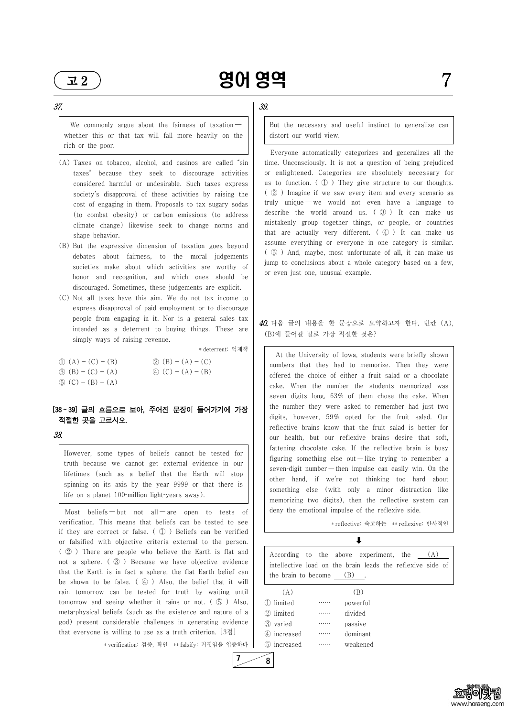# $\overline{12}$  90 영역





We commonly argue about the fairness of taxation – whether this or that tax will fall more heavily on the rich or the poor.

- (A) Taxes on tobacco, alcohol, and casinos are called "sin taxes" because they seek to discourage activities considered harmful or undesirable. Such taxes express society's disapproval of these activities by raising the cost of engaging in them. Proposals to tax sugary sodas (to combat obesity) or carbon emissions (to address climate change) likewise seek to change norms and shape behavior.
- (B) But the expressive dimension of taxation goes beyond debates about fairness, to the moral judgements societies make about which activities are worthy of honor and recognition, and which ones should be discouraged. Sometimes, these judgements are explicit.
- (C) Not all taxes have this aim. We do not tax income to express disapproval of paid employment or to discourage people from engaging in it. Nor is a general sales tax intended as a deterrent to buying things. These are simply ways of raising revenue.

However, some types of beliefs cannot be tested for truth because we cannot get external evidence in our lifetimes (such as a belief that the Earth will stop spinning on its axis by the year 9999 or that there is life on a planet 100-million light-years away).

\* deterrent: 억제책

 $\textcircled{1}$  (A) - (C) - (B)  $\textcircled{2}$  (B) - (A) - (C)  $\textcircled{3}$  (B) - (C) - (A)  $\textcircled{4}$  (C) - (A) - (B)  $\textcircled{5}$  (C) – (B) – (A)

Most beliefs — but not all — are open to tests of verification. This means that beliefs can be tested to see if they are correct or false. ( ① ) Beliefs can be verified or falsified with objective criteria external to the person. ( ② ) There are people who believe the Earth is flat and not a sphere. ( ③ ) Because we have objective evidence that the Earth is in fact a sphere, the flat Earth belief can be shown to be false.  $(\mathbb{Q})$  Also, the belief that it will rain tomorrow can be tested for truth by waiting until tomorrow and seeing whether it rains or not. ( ⑤ ) Also, meta-physical beliefs (such as the existence and nature of a god) present considerable challenges in generating evidence that everyone is willing to use as a truth criterion. [3점]

# [38 ~ 39] 글의 흐름으로 보아, 주어진 문장이 들어가기에 가장 적절한 곳을 고르시오.

### 38.

\* verification: 검증, 확인 \*\* falsify: 거짓임을 입증하다

 $\downarrow$ According to the above experiment, the  $(A)$ intellective load on the brain leads the reflexive side of the brain to become (B) .  $(A)$  (B)

# 39.

But the necessary and useful instinct to generalize can distort our world view.

Everyone automatically categorizes and generalizes all the time. Unconsciously. It is not a question of being prejudiced or enlightened. Categories are absolutely necessary for us to function.  $(\mathbb{D})$  They give structure to our thoughts. ( ② ) Imagine if we saw every item and every scenario as truly unique ― we would not even have a language to describe the world around us.  $\left( \mathcal{D} \right)$  It can make us mistakenly group together things, or people, or countries that are actually very different.  $(\mathcal{A})$  It can make us assume everything or everyone in one category is similar. ( ⑤ ) And, maybe, most unfortunate of all, it can make us jump to conclusions about a whole category based on a few, or even just one, unusual example.

# 40. 다음 글의 내용을 한 문장으로 요약하고자 한다. 빈칸 (A), (B)에 들어갈 말로 가장 적절한 것은?

At the University of Iowa, students were briefly shown numbers that they had to memorize. Then they were offered the choice of either a fruit salad or a chocolate cake. When the number the students memorized was seven digits long, 63% of them chose the cake. When the number they were asked to remember had just two digits, however, 59% opted for the fruit salad. Our reflective brains know that the fruit salad is better for our health, but our reflexive brains desire that soft, fattening chocolate cake. If the reflective brain is busy figuring something else out  $-\text{like}$  trying to remember a seven-digit number — then impulse can easily win. On the other hand, if we're not thinking too hard about something else (with only a minor distraction like memorizing two digits), then the reflective system can deny the emotional impulse of the reflexive side.

\* reflective: 숙고하는 \*\* reflexive: 반사적인

① limited ······ powerful 2 limited ······· divided 3 varied ······· passive ④ increased ······ dominant ⑤ increased ······ weakened